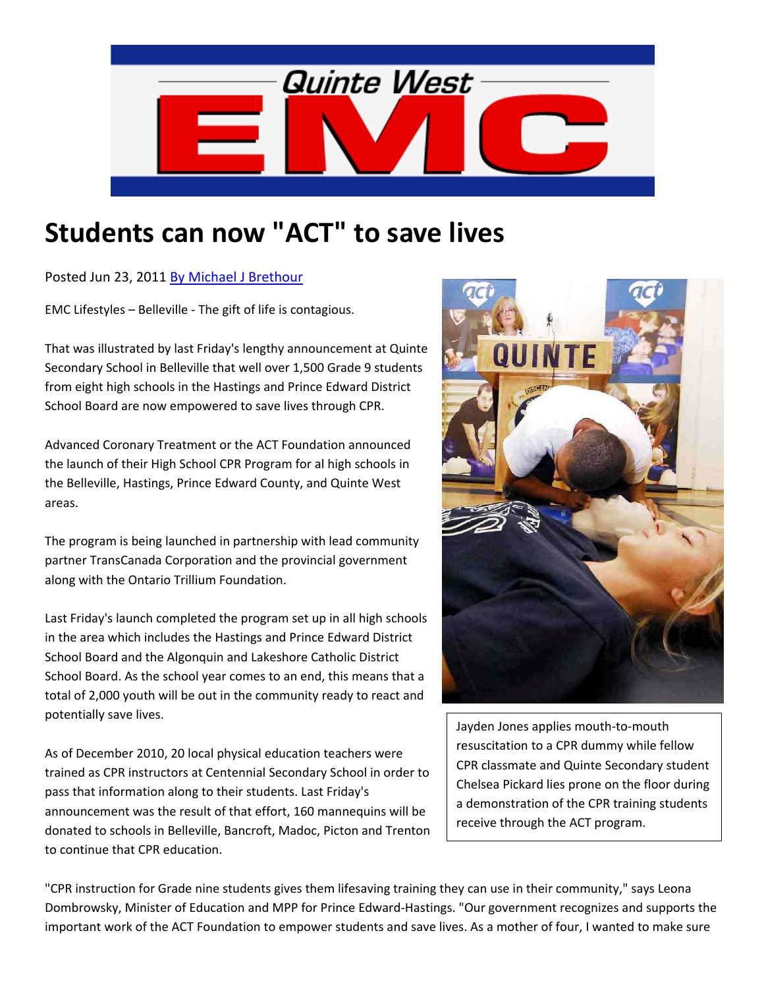

## **Students can now "ACT" to save lives**

Posted Jun 23, 2011 By Michael J Brethour

EMC Lifestyles – Belleville ‐ The gift of life is contagious.

That was illustrated by last Friday's lengthy announcement at Quinte Secondary School in Belleville that well over 1,500 Grade 9 students from eight high schools in the Hastings and Prince Edward District School Board are now empowered to save lives through CPR.

Advanced Coronary Treatment or the ACT Foundation announced the launch of their High School CPR Program for al high schools in the Belleville, Hastings, Prince Edward County, and Quinte West areas.

The program is being launched in partnership with lead community partner TransCanada Corporation and the provincial government along with the Ontario Trillium Foundation.

Last Friday's launch completed the program set up in all high schools in the area which includes the Hastings and Prince Edward District School Board and the Algonquin and Lakeshore Catholic District School Board. As the school year comes to an end, this means that a total of 2,000 youth will be out in the community ready to react and potentially save lives.

As of December 2010, 20 local physical education teachers were trained as CPR instructors at Centennial Secondary School in order to pass that information along to their students. Last Friday's announcement was the result of that effort, 160 mannequins will be donated to schools in Belleville, Bancroft, Madoc, Picton and Trenton to continue that CPR education.



Jayden Jones applies mouth‐to‐mouth resuscitation to a CPR dummy while fellow CPR classmate and Quinte Secondary student Chelsea Pickard lies prone on the floor during a demonstration of the CPR training students receive through the ACT program.

"CPR instruction for Grade nine students gives them lifesaving training they can use in their community," says Leona Dombrowsky, Minister of Education and MPP for Prince Edward‐Hastings. "Our government recognizes and supports the important work of the ACT Foundation to empower students and save lives. As a mother of four, I wanted to make sure